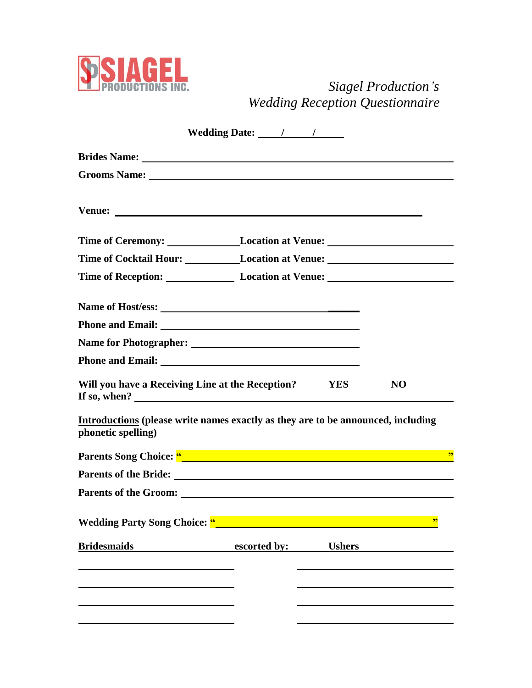

## *Siagel Production's Wedding Reception Questionnaire*

|                                                                                                                                                                                                                                | Wedding Date: <u>/ / / / /</u> |               |                         |
|--------------------------------------------------------------------------------------------------------------------------------------------------------------------------------------------------------------------------------|--------------------------------|---------------|-------------------------|
|                                                                                                                                                                                                                                |                                |               |                         |
| Grooms Name: Name and Society of the Contract of the Contract of the Contract of the Contract of the Contract of the Contract of the Contract of the Contract of the Contract of the Contract of the Contract of the Contract  |                                |               |                         |
|                                                                                                                                                                                                                                |                                |               |                         |
| Time of Ceremony: Location at Venue:                                                                                                                                                                                           |                                |               |                         |
| Time of Cocktail Hour: Location at Venue:                                                                                                                                                                                      |                                |               |                         |
| Time of Reception: Location at Venue: Location and Venue and Venue and Venue and Venue and Venue and Venue and Venue and Venue and Venue and Venue and Venue and Venue and Venue and Venue and Venue and Venue and Venue and V |                                |               |                         |
|                                                                                                                                                                                                                                |                                |               |                         |
|                                                                                                                                                                                                                                |                                |               |                         |
|                                                                                                                                                                                                                                |                                |               |                         |
|                                                                                                                                                                                                                                |                                |               |                         |
| Will you have a Receiving Line at the Reception? YES<br>If so, when? $\qquad \qquad$                                                                                                                                           |                                |               | <b>NO</b>               |
| Introductions (please write names exactly as they are to be announced, including<br>phonetic spelling)                                                                                                                         |                                |               |                         |
|                                                                                                                                                                                                                                |                                |               | $\overline{\mathbf{5}}$ |
| Parents of the Bride: <u>contract the property of the Bride</u> :                                                                                                                                                              |                                |               |                         |
|                                                                                                                                                                                                                                |                                |               |                         |
| <b>Wedding Party Song Choice: "_</b>                                                                                                                                                                                           |                                |               | 99                      |
| <u>Bridesmaids</u>                                                                                                                                                                                                             | escorted by:                   | <b>Ushers</b> |                         |
|                                                                                                                                                                                                                                |                                |               |                         |
|                                                                                                                                                                                                                                |                                |               |                         |
|                                                                                                                                                                                                                                |                                |               |                         |
|                                                                                                                                                                                                                                |                                |               |                         |
|                                                                                                                                                                                                                                |                                |               |                         |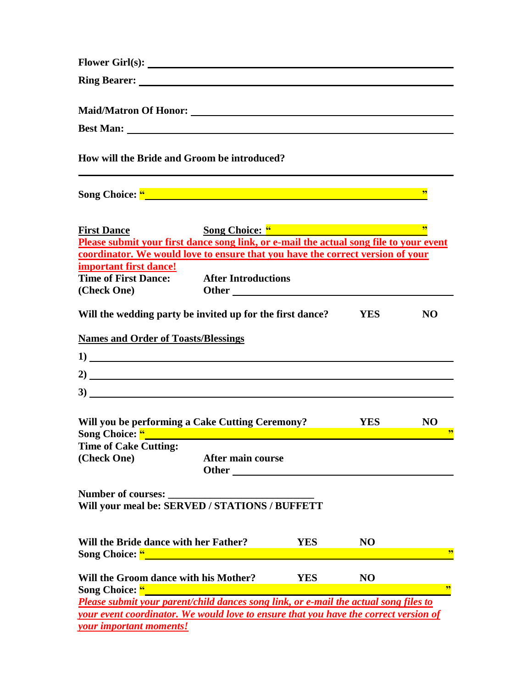| How will the Bride and Groom be introduced?                                                                                                                                                                                                                                     |                                                                                                                                                                                                                                                          |            |                |                                       |
|---------------------------------------------------------------------------------------------------------------------------------------------------------------------------------------------------------------------------------------------------------------------------------|----------------------------------------------------------------------------------------------------------------------------------------------------------------------------------------------------------------------------------------------------------|------------|----------------|---------------------------------------|
| Song Choice: " Manual Charles Contained by Choice: "                                                                                                                                                                                                                            |                                                                                                                                                                                                                                                          |            |                | 99                                    |
| <b>First Dance</b><br>Please submit your first dance song link, or e-mail the actual song file to your event                                                                                                                                                                    | Song Choice: "                                                                                                                                                                                                                                           |            |                | $\overline{\mathbf{52}}$              |
| coordinator. We would love to ensure that you have the correct version of your                                                                                                                                                                                                  |                                                                                                                                                                                                                                                          |            |                |                                       |
| important first dance!<br><b>Time of First Dance:</b> After Introductions<br>(Check One)                                                                                                                                                                                        |                                                                                                                                                                                                                                                          |            |                |                                       |
| Will the wedding party be invited up for the first dance?                                                                                                                                                                                                                       |                                                                                                                                                                                                                                                          |            | <b>YES</b>     | <b>NO</b>                             |
| <b>Names and Order of Toasts/Blessings</b>                                                                                                                                                                                                                                      |                                                                                                                                                                                                                                                          |            |                |                                       |
| $\frac{1}{2}$                                                                                                                                                                                                                                                                   |                                                                                                                                                                                                                                                          |            |                |                                       |
| 2)                                                                                                                                                                                                                                                                              |                                                                                                                                                                                                                                                          |            |                |                                       |
| 3)                                                                                                                                                                                                                                                                              |                                                                                                                                                                                                                                                          |            |                |                                       |
| Will you be performing a Cake Cutting Ceremony?                                                                                                                                                                                                                                 |                                                                                                                                                                                                                                                          |            | <b>YES</b>     | <b>NO</b><br>$\overline{\mathcal{D}}$ |
| <b>Time of Cake Cutting:</b>                                                                                                                                                                                                                                                    |                                                                                                                                                                                                                                                          |            |                |                                       |
| (Check One)                                                                                                                                                                                                                                                                     | After main course<br><b>Other</b> and the state of the state of the state of the state of the state of the state of the state of the state of the state of the state of the state of the state of the state of the state of the state of the state of th |            |                |                                       |
| <b>Number of courses:</b><br>Will your meal be: SERVED / STATIONS / BUFFETT                                                                                                                                                                                                     |                                                                                                                                                                                                                                                          |            |                |                                       |
| Will the Bride dance with her Father?<br>Song Choice: "<br><u> and a set of the set of the set of the set of the set of the set of the set of the set of the set of the set of the set of the set of the set of the set of the set of the set of the set of the set of the </u> |                                                                                                                                                                                                                                                          | <b>YES</b> | N <sub>O</sub> | 99                                    |
| Will the Groom dance with his Mother?                                                                                                                                                                                                                                           |                                                                                                                                                                                                                                                          | <b>YES</b> | N <sub>O</sub> |                                       |
| Song Choice: "                                                                                                                                                                                                                                                                  |                                                                                                                                                                                                                                                          |            |                | 99                                    |
| Please submit your parent/child dances song link, or e-mail the actual song files to                                                                                                                                                                                            |                                                                                                                                                                                                                                                          |            |                |                                       |
| your event coordinator. We would love to ensure that you have the correct version of                                                                                                                                                                                            |                                                                                                                                                                                                                                                          |            |                |                                       |
| your important moments!                                                                                                                                                                                                                                                         |                                                                                                                                                                                                                                                          |            |                |                                       |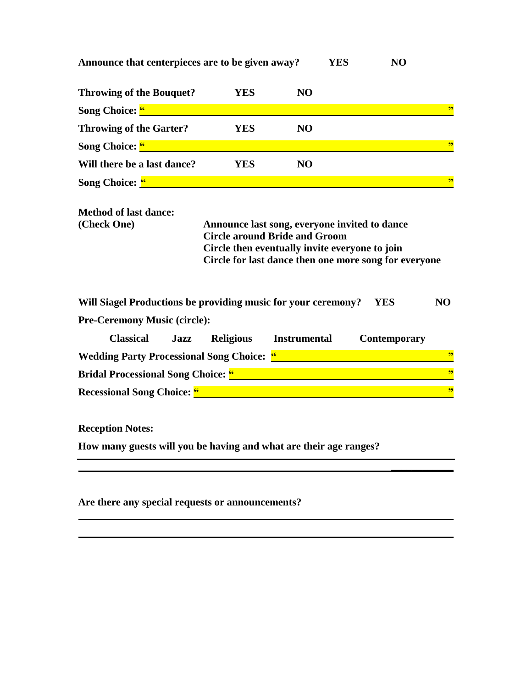| Announce that centerpieces are to be given away? |                                               |                | YES | NO |    |
|--------------------------------------------------|-----------------------------------------------|----------------|-----|----|----|
| <b>Throwing of the Bouquet?</b>                  | <b>YES</b>                                    | N <sub>O</sub> |     |    |    |
| Song Choice: "                                   |                                               |                |     |    |    |
| <b>Throwing of the Garter?</b>                   | YES                                           | N <sub>O</sub> |     |    |    |
| <b>Song Choice:</b> "                            |                                               |                |     |    | 99 |
| Will there be a last dance?                      | YES                                           | N <sub>O</sub> |     |    |    |
| Song Choice: "                                   |                                               |                |     |    | 99 |
| <b>Method of last dance:</b><br>(Check One)      | Announce last song, everyone invited to dance |                |     |    |    |

**Circle around Bride and Groom Circle then eventually invite everyone to join Circle for last dance then one more song for everyone**

**\_\_\_\_\_\_\_\_\_\_\_\_**

**Will Siagel Productions be providing music for your ceremony? YES NO**

**Pre-Ceremony Music (circle):** 

| <b>Classical</b>                                 | .lazz | <b>Religious</b> | <b>Instrumental</b> | Contemporary |     |
|--------------------------------------------------|-------|------------------|---------------------|--------------|-----|
| <b>Wedding Party Processional Song Choice: "</b> |       |                  |                     |              | -99 |
| <b>Bridal Processional Song Choice: "</b>        |       |                  |                     |              | -99 |
| <b>Recessional Song Choice: "</b>                |       |                  |                     |              | -99 |

**Reception Notes:**

**How many guests will you be having and what are their age ranges?**

**Are there any special requests or announcements?**